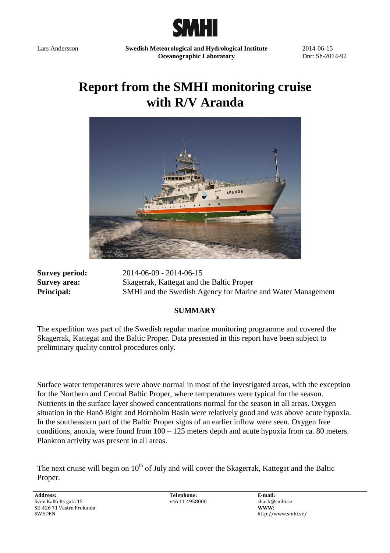

Lars Andersson **Swedish Meteorological and Hydrological Institute Oceanographic Laboratory** 

2014-06-15 Dnr: Sh-2014-92

# **Report from the SMHI monitoring cruise with R/V Aranda**



**Survey period:** 2014-06-09 - 2014-06-15 **Survey area:** Skagerrak, Kattegat and the Baltic Proper **Principal:** SMHI and the Swedish Agency for Marine and Water Management

#### **SUMMARY**

The expedition was part of the Swedish regular marine monitoring programme and covered the Skagerrak, Kattegat and the Baltic Proper. Data presented in this report have been subject to preliminary quality control procedures only.

Surface water temperatures were above normal in most of the investigated areas, with the exception for the Northern and Central Baltic Proper, where temperatures were typical for the season. Nutrients in the surface layer showed concentrations normal for the season in all areas. Oxygen situation in the Hanö Bight and Bornholm Basin were relatively good and was above acute hypoxia. In the southeastern part of the Baltic Proper signs of an earlier inflow were seen. Oxygen free conditions, anoxia, were found from 100 – 125 meters depth and acute hypoxia from ca. 80 meters. Plankton activity was present in all areas.

The next cruise will begin on  $10<sup>th</sup>$  of July and will cover the Skagerrak, Kattegat and the Baltic Proper.

**Address:**  Sven Källfelts gata 15 SE-426 71 Vastra Frolunda SWEDEN

**Telephone:**  +46 11 4958000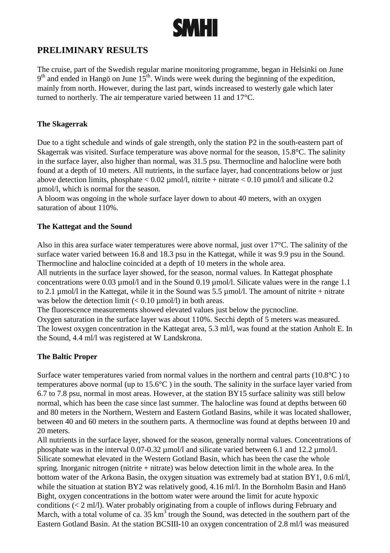

## **PRELIMINARY RESULTS**

The cruise, part of the Swedish regular marine monitoring programme, began in Helsinki on June  $9<sup>th</sup>$  and ended in Hangö on June 15<sup>th</sup>. Winds were week during the beginning of the expedition, mainly from north. However, during the last part, winds increased to westerly gale which later turned to northerly. The air temperature varied between 11 and 17°C.

#### **The Skagerrak**

Due to a tight schedule and winds of gale strength, only the station P2 in the south-eastern part of Skagerrak was visited. Surface temperature was above normal for the season, 15.8°C. The salinity in the surface layer, also higher than normal, was 31.5 psu. Thermocline and halocline were both found at a depth of 10 meters. All nutrients, in the surface layer, had concentrations below or just above detection limits, phosphate  $< 0.02 \mu$  mol/l, nitrite + nitrate  $< 0.10 \mu$  mol/l and silicate 0.2 µmol/l, which is normal for the season.

A bloom was ongoing in the whole surface layer down to about 40 meters, with an oxygen saturation of about 110%.

#### **The Kattegat and the Sound**

Also in this area surface water temperatures were above normal, just over 17°C. The salinity of the surface water varied between 16.8 and 18.3 psu in the Kattegat, while it was 9.9 psu in the Sound. Thermocline and halocline coincided at a depth of 10 meters in the whole area.

All nutrients in the surface layer showed, for the season, normal values. In Kattegat phosphate concentrations were 0.03 µmol/l and in the Sound 0.19 µmol/l. Silicate values were in the range 1.1 to 2.1  $\mu$ mol/l in the Kattegat, while it in the Sound was 5.5  $\mu$ mol/l. The amount of nitrite + nitrate was below the detection limit  $(< 0.10 \text{ µmol/l})$  in both areas.

The fluorescence measurements showed elevated values just below the pycnocline.

Oxygen saturation in the surface layer was about 110%. Secchi depth of 5 meters was measured. The lowest oxygen concentration in the Kattegat area, 5.3 ml/l, was found at the station Anholt E. In the Sound, 4.4 ml/l was registered at W Landskrona.

#### **The Baltic Proper**

Surface water temperatures varied from normal values in the northern and central parts (10.8°C ) to temperatures above normal (up to 15.6°C ) in the south. The salinity in the surface layer varied from 6.7 to 7.8 psu, normal in most areas. However, at the station BY15 surface salinity was still below normal, which has been the case since last summer. The halocline was found at depths between 60 and 80 meters in the Northern, Western and Eastern Gotland Basins, while it was located shallower, between 40 and 60 meters in the southern parts. A thermocline was found at depths between 10 and 20 meters.

All nutrients in the surface layer, showed for the season, generally normal values. Concentrations of phosphate was in the interval 0.07-0.32 umol/l and silicate varied between 6.1 and 12.2 umol/l. Silicate somewhat elevated in the Western Gotland Basin, which has been the case the whole spring. Inorganic nitrogen (nitrite  $+$  nitrate) was below detection limit in the whole area. In the bottom water of the Arkona Basin, the oxygen situation was extremely bad at station BY1, 0.6 ml/l, while the situation at station BY2 was relatively good, 4.16 ml/l. In the Bornholm Basin and Hanö Bight, oxygen concentrations in the bottom water were around the limit for acute hypoxic conditions (< 2 ml/l). Water probably originating from a couple of inflows during February and March, with a total volume of ca.  $35 \text{ km}^3$  trough the Sound, was detected in the southern part of the Eastern Gotland Basin. At the station BCSIII-10 an oxygen concentration of 2.8 ml/l was measured